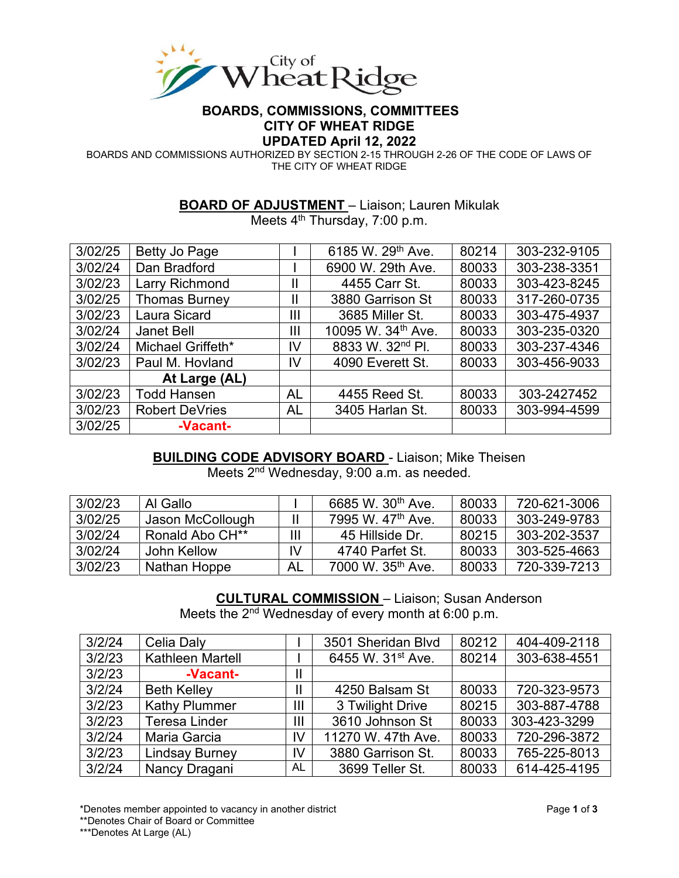

# **BOARDS, COMMISSIONS, COMMITTEES CITY OF WHEAT RIDGE**

**UPDATED April 12, 2022**

BOARDS AND COMMISSIONS AUTHORIZED BY SECTION 2-15 THROUGH 2-26 OF THE CODE OF LAWS OF THE CITY OF WHEAT RIDGE

#### **BOARD OF ADJUSTMENT** – Liaison; Lauren Mikulak

Meets 4<sup>th</sup> Thursday, 7:00 p.m.

| 3/02/25 | Betty Jo Page         |                | 6185 W. 29th Ave.              | 80214 | 303-232-9105 |
|---------|-----------------------|----------------|--------------------------------|-------|--------------|
| 3/02/24 | Dan Bradford          |                | 6900 W. 29th Ave.              | 80033 | 303-238-3351 |
| 3/02/23 | <b>Larry Richmond</b> | Ш              | 4455 Carr St.                  | 80033 | 303-423-8245 |
| 3/02/25 | <b>Thomas Burney</b>  | Ш              | 3880 Garrison St               | 80033 | 317-260-0735 |
| 3/02/23 | Laura Sicard          | $\mathbf{III}$ | 3685 Miller St.                | 80033 | 303-475-4937 |
| 3/02/24 | <b>Janet Bell</b>     | $\mathbf{III}$ | 10095 W. 34 <sup>th</sup> Ave. | 80033 | 303-235-0320 |
| 3/02/24 | Michael Griffeth*     | IV             | 8833 W. 32 <sup>nd</sup> Pl.   | 80033 | 303-237-4346 |
| 3/02/23 | Paul M. Hovland       | IV             | 4090 Everett St.               | 80033 | 303-456-9033 |
|         | At Large (AL)         |                |                                |       |              |
| 3/02/23 | <b>Todd Hansen</b>    | <b>AL</b>      | 4455 Reed St.                  | 80033 | 303-2427452  |
| 3/02/23 | <b>Robert DeVries</b> | AL             | 3405 Harlan St.                | 80033 | 303-994-4599 |
| 3/02/25 | -Vacant-              |                |                                |       |              |

### **BUILDING CODE ADVISORY BOARD** - Liaison; Mike Theisen

Meets 2<sup>nd</sup> Wednesday, 9:00 a.m. as needed.

| 3/02/23 | Al Gallo                    |     | 6685 W. 30 <sup>th</sup> Ave. | 80033 | 720-621-3006 |
|---------|-----------------------------|-----|-------------------------------|-------|--------------|
| 3/02/25 | Jason McCollough            |     | 7995 W. 47 <sup>th</sup> Ave. | 80033 | 303-249-9783 |
| 3/02/24 | Ronald Abo CH <sup>**</sup> | Ш   | 45 Hillside Dr.               | 80215 | 303-202-3537 |
| 3/02/24 | John Kellow                 | IV. | 4740 Parfet St.               | 80033 | 303-525-4663 |
| 3/02/23 | Nathan Hoppe                | AL  | 7000 W. 35 <sup>th</sup> Ave. | 80033 | 720-339-7213 |

#### **CULTURAL COMMISSION** – Liaison; Susan Anderson

Meets the 2<sup>nd</sup> Wednesday of every month at 6:00 p.m.

| 3/2/24 | Celia Daly            |    | 3501 Sheridan Blvd            | 80212 | 404-409-2118 |
|--------|-----------------------|----|-------------------------------|-------|--------------|
| 3/2/23 | Kathleen Martell      |    | 6455 W. 31 <sup>st</sup> Ave. | 80214 | 303-638-4551 |
| 3/2/23 | -Vacant-              | 11 |                               |       |              |
| 3/2/24 | <b>Beth Kelley</b>    | 11 | 4250 Balsam St                | 80033 | 720-323-9573 |
| 3/2/23 | <b>Kathy Plummer</b>  | Ш  | 3 Twilight Drive              | 80215 | 303-887-4788 |
| 3/2/23 | <b>Teresa Linder</b>  | Ш  | 3610 Johnson St               | 80033 | 303-423-3299 |
| 3/2/24 | Maria Garcia          | IV | 11270 W. 47th Ave.            | 80033 | 720-296-3872 |
| 3/2/23 | <b>Lindsay Burney</b> | IV | 3880 Garrison St.             | 80033 | 765-225-8013 |
| 3/2/24 | Nancy Dragani         | AL | 3699 Teller St.               | 80033 | 614-425-4195 |

\*Denotes member appointed to vacancy in another district Page **1** of **3**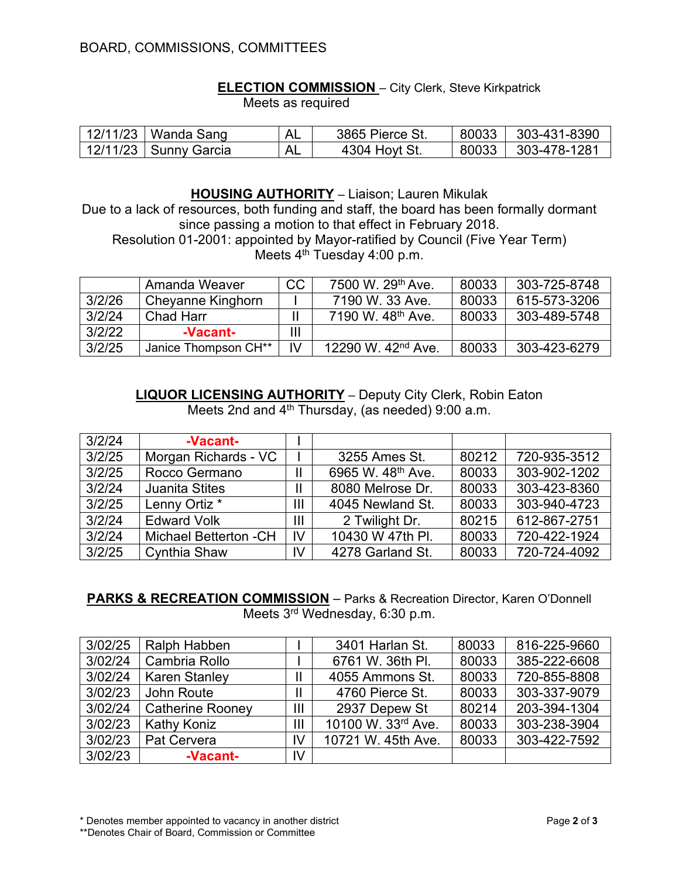#### **ELECTION COMMISSION** – City Clerk, Steve Kirkpatrick

Meets as required

| 12/11/23   Wanda Sang   | AL. | 3865 Pierce St. | 80033 303-431-8390 |
|-------------------------|-----|-----------------|--------------------|
| 12/11/23   Sunny Garcia | AL. | 4304 Hoyt St.   | 80033 303-478-1281 |

#### **HOUSING AUTHORITY** – Liaison; Lauren Mikulak

Due to a lack of resources, both funding and staff, the board has been formally dormant since passing a motion to that effect in February 2018.

Resolution 01-2001: appointed by Mayor-ratified by Council (Five Year Term) Meets  $4<sup>th</sup>$  Tuesday 4:00 p.m.

|        | Amanda Weaver        | <b>CC</b> | 7500 W. 29 <sup>th</sup> Ave.  | 80033 | 303-725-8748 |
|--------|----------------------|-----------|--------------------------------|-------|--------------|
| 3/2/26 | Cheyanne Kinghorn    |           | 7190 W. 33 Ave.                | 80033 | 615-573-3206 |
| 3/2/24 | <b>Chad Harr</b>     |           | 7190 W. 48 <sup>th</sup> Ave.  | 80033 | 303-489-5748 |
| 3/2/22 | -Vacant-             | III       |                                |       |              |
| 3/2/25 | Janice Thompson CH** | IV        | 12290 W. 42 <sup>nd</sup> Ave. | 80033 | 303-423-6279 |

**LIQUOR LICENSING AUTHORITY** – Deputy City Clerk, Robin Eaton Meets 2nd and 4<sup>th</sup> Thursday, (as needed) 9:00 a.m.

| 3/2/24 | -Vacant-                     |    |                               |       |              |
|--------|------------------------------|----|-------------------------------|-------|--------------|
| 3/2/25 | Morgan Richards - VC         |    | 3255 Ames St.                 | 80212 | 720-935-3512 |
| 3/2/25 | Rocco Germano                |    | 6965 W. 48 <sup>th</sup> Ave. | 80033 | 303-902-1202 |
| 3/2/24 | <b>Juanita Stites</b>        |    | 8080 Melrose Dr.              | 80033 | 303-423-8360 |
| 3/2/25 | Lenny Ortiz <sup>*</sup>     | Ш  | 4045 Newland St.              | 80033 | 303-940-4723 |
| 3/2/24 | <b>Edward Volk</b>           | Ш  | 2 Twilight Dr.                | 80215 | 612-867-2751 |
| 3/2/24 | <b>Michael Betterton -CH</b> | IV | 10430 W 47th PI.              | 80033 | 720-422-1924 |
| 3/2/25 | <b>Cynthia Shaw</b>          | IV | 4278 Garland St.              | 80033 | 720-724-4092 |

**PARKS & RECREATION COMMISSION** – Parks & Recreation Director, Karen O'Donnell Meets 3rd Wednesday, 6:30 p.m.

| 3/02/25 | Ralph Habben            |               | 3401 Harlan St.    | 80033 | 816-225-9660 |
|---------|-------------------------|---------------|--------------------|-------|--------------|
| 3/02/24 | Cambria Rollo           |               | 6761 W. 36th PI.   | 80033 | 385-222-6608 |
| 3/02/24 | <b>Karen Stanley</b>    | $\mathsf{II}$ | 4055 Ammons St.    | 80033 | 720-855-8808 |
| 3/02/23 | John Route              | $\mathbf{II}$ | 4760 Pierce St.    | 80033 | 303-337-9079 |
| 3/02/24 | <b>Catherine Rooney</b> | Ш             | 2937 Depew St      | 80214 | 203-394-1304 |
| 3/02/23 | <b>Kathy Koniz</b>      | Ш             | 10100 W. 33rd Ave. | 80033 | 303-238-3904 |
| 3/02/23 | Pat Cervera             | IV            | 10721 W. 45th Ave. | 80033 | 303-422-7592 |
| 3/02/23 | -Vacant-                | IV            |                    |       |              |

\* Denotes member appointed to vacancy in another district Page **2** of **3**

<sup>\*\*</sup>Denotes Chair of Board, Commission or Committee